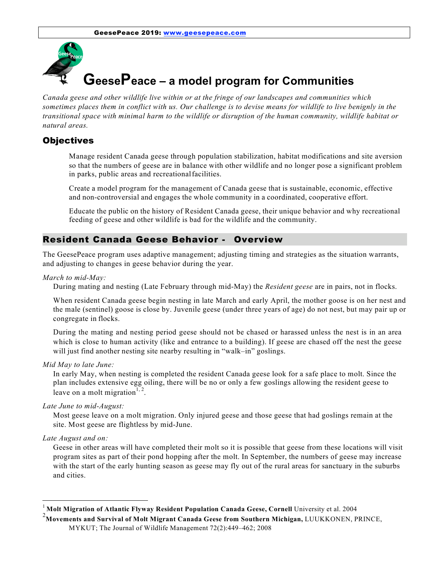

*Canada geese and other wildlife live within or at the fringe of our landscapes and communities which sometimes places them in conflict with us. Our challenge is to devise means for wildlife to live benignly in the transitional space with minimal harm to the wildlife or disruption of the human community, wildlife habitat or natural areas.*

#### **Objectives**

 Manage resident Canada geese through population stabilization, habitat modifications and site aversion so that the numbers of geese are in balance with other wildlife and no longer pose a significant problem in parks, public areas and recreationalfacilities.

 Create a model program for the management of Canada geese that is sustainable, economic, effective and non-controversial and engages the whole community in a coordinated, cooperative effort.

 Educate the public on the history of Resident Canada geese, their unique behavior and why recreational feeding of geese and other wildlife is bad for the wildlife and the community.

#### Resident Canada Geese Behavior - Overview

The GeesePeace program uses adaptive management; adjusting timing and strategies as the situation warrants, and adjusting to changes in geese behavior during the year.

#### *March to mid-May:*

During mating and nesting (Late February through mid-May) the *Resident geese* are in pairs, not in flocks.

When resident Canada geese begin nesting in late March and early April, the mother goose is on her nest and the male (sentinel) goose is close by. Juvenile geese (under three years of age) do not nest, but may pair up or congregate in flocks.

During the mating and nesting period geese should not be chased or harassed unless the nest is in an area which is close to human activity (like and entrance to a building). If geese are chased off the nest the geese will just find another nesting site nearby resulting in "walk–in" goslings.

*Mid May to late June:*

In early May, when nesting is completed the resident Canada geese look for a safe place to molt. Since the plan includes extensive egg oiling, there will be no or only a few goslings allowing the resident geese to leave on a molt migration<sup>1, 2</sup>.

*Late June to mid-August:*

Most geese leave on a molt migration. Only injured geese and those geese that had goslings remain at the site. Most geese are flightless by mid-June.

#### *Late August and on:*

Geese in other areas will have completed their molt so it is possible that geese from these locations will visit program sites as part of their pond hopping after the molt. In September, the numbers of geese may increase with the start of the early hunting season as geese may fly out of the rural areas for sanctuary in the suburbs and cities.

<sup>1</sup>**Molt Migration of Atlantic Flyway Resident Population Canada Geese, Cornell** University et al. 2004

<sup>&</sup>lt;sup>2</sup><br>Movements and Survival of Molt Migrant Canada Geese from Southern Michigan, LUUKKONEN, PRINCE,

MYKUT; The Journal of Wildlife Management 72(2):449–462; 2008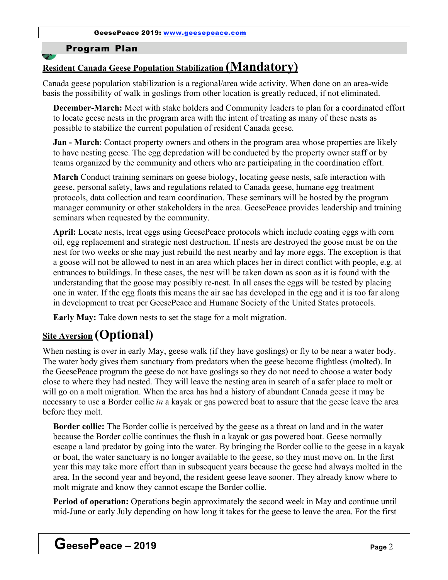# Program Plan

# **Resident Canada Geese Population Stabilization (Mandatory)**

Canada geese population stabilization is a regional/area wide activity. When done on an area-wide basis the possibility of walk in goslings from other location is greatly reduced, if not eliminated.

**December-March:** Meet with stake holders and Community leaders to plan for a coordinated effort to locate geese nests in the program area with the intent of treating as many of these nests as possible to stabilize the current population of resident Canada geese.

**Jan - March**: Contact property owners and others in the program area whose properties are likely to have nesting geese. The egg depredation will be conducted by the property owner staff or by teams organized by the community and others who are participating in the coordination effort.

**March** Conduct training seminars on geese biology, locating geese nests, safe interaction with geese, personal safety, laws and regulations related to Canada geese, humane egg treatment protocols, data collection and team coordination. These seminars will be hosted by the program manager community or other stakeholders in the area. GeesePeace provides leadership and training seminars when requested by the community.

**April:** Locate nests, treat eggs using GeesePeace protocols which include coating eggs with corn oil, egg replacement and strategic nest destruction. If nests are destroyed the goose must be on the nest for two weeks or she may just rebuild the nest nearby and lay more eggs. The exception is that a goose will not be allowed to nest in an area which places her in direct conflict with people, e.g. at entrances to buildings. In these cases, the nest will be taken down as soon as it is found with the understanding that the goose may possibly re-nest. In all cases the eggs will be tested by placing one in water. If the egg floats this means the air sac has developed in the egg and it is too far along in development to treat per GeesePeace and Humane Society of the United States protocols.

**Early May:** Take down nests to set the stage for a molt migration.

# **Site Aversion (Optional)**

When nesting is over in early May, geese walk (if they have goslings) or fly to be near a water body. The water body gives them sanctuary from predators when the geese become flightless (molted). In the GeesePeace program the geese do not have goslings so they do not need to choose a water body close to where they had nested. They will leave the nesting area in search of a safer place to molt or will go on a molt migration. When the area has had a history of abundant Canada geese it may be necessary to use a Border collie *in* a kayak or gas powered boat to assure that the geese leave the area before they molt.

**Border collie:** The Border collie is perceived by the geese as a threat on land and in the water because the Border collie continues the flush in a kayak or gas powered boat. Geese normally escape a land predator by going into the water. By bringing the Border collie to the geese in a kayak or boat, the water sanctuary is no longer available to the geese, so they must move on. In the first year this may take more effort than in subsequent years because the geese had always molted in the area. In the second year and beyond, the resident geese leave sooner. They already know where to molt migrate and know they cannot escape the Border collie.

**Period of operation:** Operations begin approximately the second week in May and continue until mid-June or early July depending on how long it takes for the geese to leave the area. For the first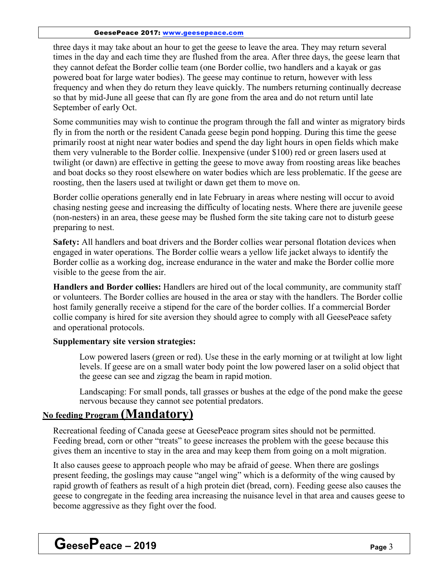#### GeesePeace 2017: www.geesepeace.com

three days it may take about an hour to get the geese to leave the area. They may return several times in the day and each time they are flushed from the area. After three days, the geese learn that they cannot defeat the Border collie team (one Border collie, two handlers and a kayak or gas powered boat for large water bodies). The geese may continue to return, however with less frequency and when they do return they leave quickly. The numbers returning continually decrease so that by mid-June all geese that can fly are gone from the area and do not return until late September of early Oct.

Some communities may wish to continue the program through the fall and winter as migratory birds fly in from the north or the resident Canada geese begin pond hopping. During this time the geese primarily roost at night near water bodies and spend the day light hours in open fields which make them very vulnerable to the Border collie. Inexpensive (under \$100) red or green lasers used at twilight (or dawn) are effective in getting the geese to move away from roosting areas like beaches and boat docks so they roost elsewhere on water bodies which are less problematic. If the geese are roosting, then the lasers used at twilight or dawn get them to move on.

Border collie operations generally end in late February in areas where nesting will occur to avoid chasing nesting geese and increasing the difficulty of locating nests. Where there are juvenile geese (non-nesters) in an area, these geese may be flushed form the site taking care not to disturb geese preparing to nest.

**Safety:** All handlers and boat drivers and the Border collies wear personal flotation devices when engaged in water operations. The Border collie wears a yellow life jacket always to identify the Border collie as a working dog, increase endurance in the water and make the Border collie more visible to the geese from the air.

**Handlers and Border collies:** Handlers are hired out of the local community, are community staff or volunteers. The Border collies are housed in the area or stay with the handlers. The Border collie host family generally receive a stipend for the care of the border collies. If a commercial Border collie company is hired for site aversion they should agree to comply with all GeesePeace safety and operational protocols.

## **Supplementary site version strategies:**

 Low powered lasers (green or red). Use these in the early morning or at twilight at low light levels. If geese are on a small water body point the low powered laser on a solid object that the geese can see and zigzag the beam in rapid motion.

 Landscaping: For small ponds, tall grasses or bushes at the edge of the pond make the geese nervous because they cannot see potential predators.

# **No feeding Program (Mandatory)**

Recreational feeding of Canada geese at GeesePeace program sites should not be permitted. Feeding bread, corn or other "treats" to geese increases the problem with the geese because this gives them an incentive to stay in the area and may keep them from going on a molt migration.

It also causes geese to approach people who may be afraid of geese. When there are goslings present feeding, the goslings may cause "angel wing" which is a deformity of the wing caused by rapid growth of feathers as result of a high protein diet (bread, corn). Feeding geese also causes the geese to congregate in the feeding area increasing the nuisance level in that area and causes geese to become aggressive as they fight over the food.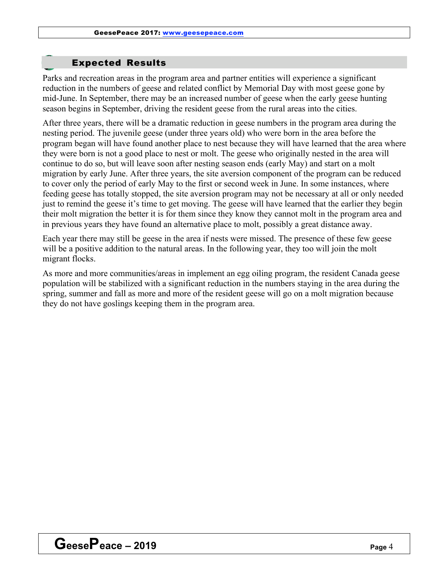# Expected Results

Parks and recreation areas in the program area and partner entities will experience a significant reduction in the numbers of geese and related conflict by Memorial Day with most geese gone by mid-June. In September, there may be an increased number of geese when the early geese hunting season begins in September, driving the resident geese from the rural areas into the cities.

After three years, there will be a dramatic reduction in geese numbers in the program area during the nesting period. The juvenile geese (under three years old) who were born in the area before the program began will have found another place to nest because they will have learned that the area where they were born is not a good place to nest or molt. The geese who originally nested in the area will continue to do so, but will leave soon after nesting season ends (early May) and start on a molt migration by early June. After three years, the site aversion component of the program can be reduced to cover only the period of early May to the first or second week in June. In some instances, where feeding geese has totally stopped, the site aversion program may not be necessary at all or only needed just to remind the geese it's time to get moving. The geese will have learned that the earlier they begin their molt migration the better it is for them since they know they cannot molt in the program area and in previous years they have found an alternative place to molt, possibly a great distance away.

Each year there may still be geese in the area if nests were missed. The presence of these few geese will be a positive addition to the natural areas. In the following year, they too will join the molt migrant flocks.

As more and more communities/areas in implement an egg oiling program, the resident Canada geese population will be stabilized with a significant reduction in the numbers staying in the area during the spring, summer and fall as more and more of the resident geese will go on a molt migration because they do not have goslings keeping them in the program area.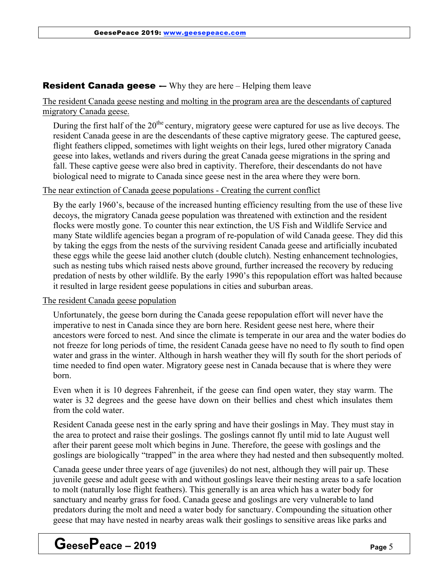# **Resident Canada geese -–** Why they are here – Helping them leave

The resident Canada geese nesting and molting in the program area are the descendants of captured migratory Canada geese.

During the first half of the  $20<sup>the</sup>$  century, migratory geese were captured for use as live decoys. The resident Canada geese in are the descendants of these captive migratory geese. The captured geese, flight feathers clipped, sometimes with light weights on their legs, lured other migratory Canada geese into lakes, wetlands and rivers during the great Canada geese migrations in the spring and fall. These captive geese were also bred in captivity. Therefore, their descendants do not have biological need to migrate to Canada since geese nest in the area where they were born.

### The near extinction of Canada geese populations - Creating the current conflict

By the early 1960's, because of the increased hunting efficiency resulting from the use of these live decoys, the migratory Canada geese population was threatened with extinction and the resident flocks were mostly gone. To counter this near extinction, the US Fish and Wildlife Service and many State wildlife agencies began a program of re-population of wild Canada geese. They did this by taking the eggs from the nests of the surviving resident Canada geese and artificially incubated these eggs while the geese laid another clutch (double clutch). Nesting enhancement technologies, such as nesting tubs which raised nests above ground, further increased the recovery by reducing predation of nests by other wildlife. By the early 1990's this repopulation effort was halted because it resulted in large resident geese populations in cities and suburban areas.

The resident Canada geese population

Unfortunately, the geese born during the Canada geese repopulation effort will never have the imperative to nest in Canada since they are born here. Resident geese nest here, where their ancestors were forced to nest. And since the climate is temperate in our area and the water bodies do not freeze for long periods of time, the resident Canada geese have no need to fly south to find open water and grass in the winter. Although in harsh weather they will fly south for the short periods of time needed to find open water. Migratory geese nest in Canada because that is where they were born.

Even when it is 10 degrees Fahrenheit, if the geese can find open water, they stay warm. The water is 32 degrees and the geese have down on their bellies and chest which insulates them from the cold water.

Resident Canada geese nest in the early spring and have their goslings in May. They must stay in the area to protect and raise their goslings. The goslings cannot fly until mid to late August well after their parent geese molt which begins in June. Therefore, the geese with goslings and the goslings are biologically "trapped" in the area where they had nested and then subsequently molted.

Canada geese under three years of age (juveniles) do not nest, although they will pair up. These juvenile geese and adult geese with and without goslings leave their nesting areas to a safe location to molt (naturally lose flight feathers). This generally is an area which has a water body for sanctuary and nearby grass for food. Canada geese and goslings are very vulnerable to land predators during the molt and need a water body for sanctuary. Compounding the situation other geese that may have nested in nearby areas walk their goslings to sensitive areas like parks and